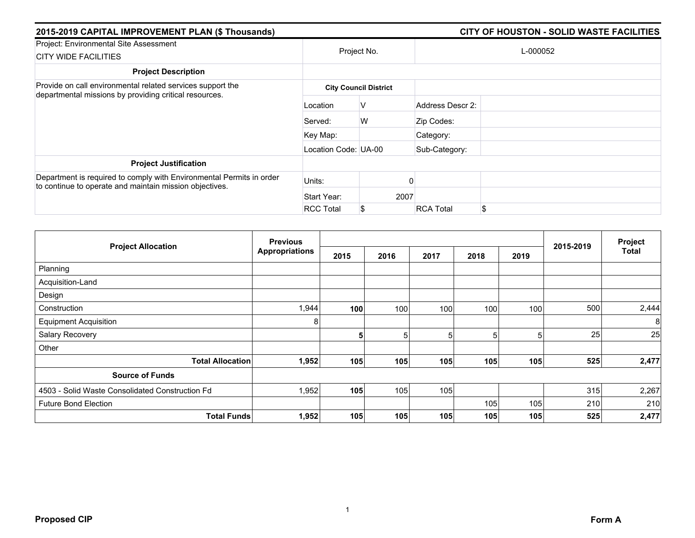| 2015-2019 CAPITAL IMPROVEMENT PLAN (\$ Thousands)                                                                               |                      |                              |                  |          |  |
|---------------------------------------------------------------------------------------------------------------------------------|----------------------|------------------------------|------------------|----------|--|
| Project: Environmental Site Assessment<br><b>CITY WIDE FACILITIES</b>                                                           |                      | Project No.                  |                  | L-000052 |  |
| <b>Project Description</b>                                                                                                      |                      |                              |                  |          |  |
| Provide on call environmental related services support the                                                                      |                      | <b>City Council District</b> |                  |          |  |
| departmental missions by providing critical resources.                                                                          | Location             | V                            | Address Descr 2: |          |  |
|                                                                                                                                 | Served:              | W                            | Zip Codes:       |          |  |
|                                                                                                                                 | Key Map:             |                              | Category:        |          |  |
|                                                                                                                                 | Location Code: UA-00 |                              | Sub-Category:    |          |  |
| <b>Project Justification</b>                                                                                                    |                      |                              |                  |          |  |
| Department is required to comply with Environmental Permits in order<br>to continue to operate and maintain mission objectives. | Units:               |                              |                  |          |  |
|                                                                                                                                 | Start Year:          | 2007                         |                  |          |  |
|                                                                                                                                 | <b>RCC Total</b>     | S                            | <b>RCA Total</b> | \$       |  |

|                                                 | <b>Previous</b>       |      |      |      |      |                 |           | Project |
|-------------------------------------------------|-----------------------|------|------|------|------|-----------------|-----------|---------|
| <b>Project Allocation</b>                       | <b>Appropriations</b> | 2015 | 2016 | 2017 | 2018 | 2019            | 2015-2019 | Total   |
| Planning                                        |                       |      |      |      |      |                 |           |         |
| Acquisition-Land                                |                       |      |      |      |      |                 |           |         |
| Design                                          |                       |      |      |      |      |                 |           |         |
| Construction                                    | 1,944                 | 100  | 100  | 100  | 100  | 100             | 500       | 2,444   |
| <b>Equipment Acquisition</b>                    | 8                     |      |      |      |      |                 |           | 8       |
| Salary Recovery                                 |                       | 5    | 5    | 5    |      | $5\overline{)}$ | 25        | 25      |
| Other                                           |                       |      |      |      |      |                 |           |         |
| <b>Total Allocation</b>                         | 1,952                 | 105  | 105  | 105  | 105  | 105             | 525       | 2,477   |
| <b>Source of Funds</b>                          |                       |      |      |      |      |                 |           |         |
| 4503 - Solid Waste Consolidated Construction Fd | 1,952                 | 105  | 105  | 105  |      |                 | 315       | 2,267   |
| <b>Future Bond Election</b>                     |                       |      |      |      | 105  | 105             | 210       | 210     |
| <b>Total Funds</b>                              | 1,952                 | 105  | 105  | 105  | 105  | 105             | 525       | 2,477   |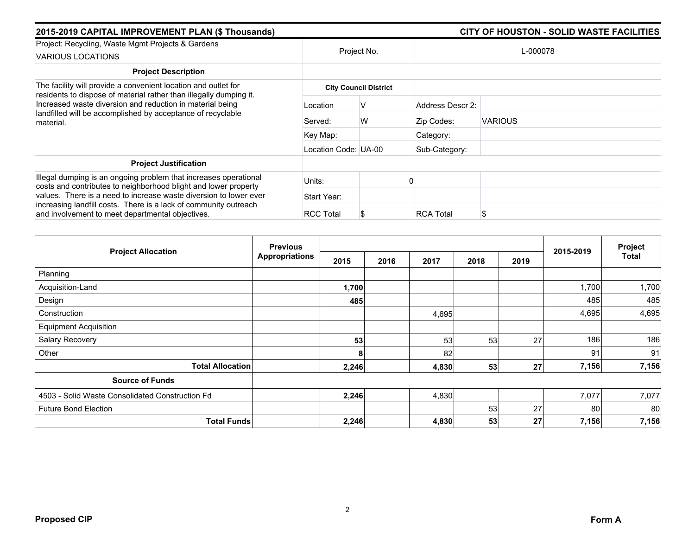| 2015-2019 CAPITAL IMPROVEMENT PLAN (\$ Thousands)                                                                                                                                         |                      | CITY OF HOUSTON - SOLID WASTE FACILITIES |                  |                |  |  |
|-------------------------------------------------------------------------------------------------------------------------------------------------------------------------------------------|----------------------|------------------------------------------|------------------|----------------|--|--|
| Project: Recycling, Waste Mgmt Projects & Gardens<br><b>VARIOUS LOCATIONS</b>                                                                                                             | Project No.          |                                          | L-000078         |                |  |  |
| <b>Project Description</b>                                                                                                                                                                |                      |                                          |                  |                |  |  |
| The facility will provide a convenient location and outlet for<br>residents to dispose of material rather than illegally dumping it.                                                      |                      | <b>City Council District</b>             |                  |                |  |  |
| Increased waste diversion and reduction in material being<br>landfilled will be accomplished by acceptance of recyclable<br>material.                                                     | Location             | ν                                        | Address Descr 2: |                |  |  |
|                                                                                                                                                                                           | Served:              | W                                        | Zip Codes:       | <b>VARIOUS</b> |  |  |
|                                                                                                                                                                                           | Key Map:             |                                          | Category:        |                |  |  |
|                                                                                                                                                                                           | Location Code: UA-00 |                                          | Sub-Category:    |                |  |  |
| <b>Project Justification</b>                                                                                                                                                              |                      |                                          |                  |                |  |  |
| Illegal dumping is an ongoing problem that increases operational<br>costs and contributes to neighborhood blight and lower property                                                       | Units:               |                                          |                  |                |  |  |
| values. There is a need to increase waste diversion to lower ever<br>increasing landfill costs. There is a lack of community outreach<br>and involvement to meet departmental objectives. | Start Year:          |                                          |                  |                |  |  |
|                                                                                                                                                                                           | <b>RCC Total</b>     |                                          | <b>RCA Total</b> | S              |  |  |

| <b>Project Allocation</b>                       | <b>Previous</b>       |       |      |       |      |      | 2015-2019 | Project      |
|-------------------------------------------------|-----------------------|-------|------|-------|------|------|-----------|--------------|
|                                                 | <b>Appropriations</b> | 2015  | 2016 | 2017  | 2018 | 2019 |           | <b>Total</b> |
| Planning                                        |                       |       |      |       |      |      |           |              |
| Acquisition-Land                                |                       | 1,700 |      |       |      |      | 1,700     | 1,700        |
| Design                                          |                       | 485   |      |       |      |      | 485       | 485          |
| Construction                                    |                       |       |      | 4,695 |      |      | 4,695     | 4,695        |
| <b>Equipment Acquisition</b>                    |                       |       |      |       |      |      |           |              |
| Salary Recovery                                 |                       | 53    |      | 53    | 53   | 27   | 186       | 186          |
| Other                                           |                       | 8     |      | 82    |      |      | 91        | 91           |
| <b>Total Allocation</b>                         |                       | 2,246 |      | 4,830 | 53   | 27   | 7,156     | 7,156        |
| <b>Source of Funds</b>                          |                       |       |      |       |      |      |           |              |
| 4503 - Solid Waste Consolidated Construction Fd |                       | 2,246 |      | 4,830 |      |      | 7,077     | 7,077        |
| <b>Future Bond Election</b>                     |                       |       |      |       | 53   | 27   | 80        | 80           |
| <b>Total Funds</b>                              |                       | 2,246 |      | 4,830 | 53   | 27   | 7,156     | 7,156        |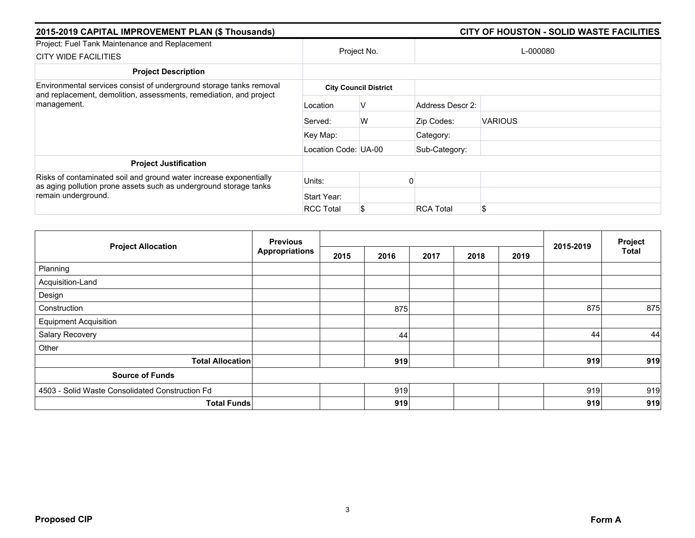| 2015-2019 CAPITAL IMPROVEMENT PLAN (\$ Thousands)                                                                                                              |                      |                              | <b>CITY OF HOUSTON - SOLID WASTE FACILITIES</b> |                |  |  |  |
|----------------------------------------------------------------------------------------------------------------------------------------------------------------|----------------------|------------------------------|-------------------------------------------------|----------------|--|--|--|
| Project: Fuel Tank Maintenance and Replacement<br><b>CITY WIDE FACILITIES</b>                                                                                  |                      | Project No.                  |                                                 | L-000080       |  |  |  |
| <b>Project Description</b>                                                                                                                                     |                      |                              |                                                 |                |  |  |  |
| Environmental services consist of underground storage tanks removal                                                                                            |                      | <b>City Council District</b> |                                                 |                |  |  |  |
| and replacement, demolition, assessments, remediation, and project<br>management.                                                                              | Location             | V                            | Address Descr 2:                                |                |  |  |  |
|                                                                                                                                                                | Served:              | W                            | Zip Codes:                                      | <b>VARIOUS</b> |  |  |  |
|                                                                                                                                                                | Key Map:             |                              | Category:                                       |                |  |  |  |
|                                                                                                                                                                | Location Code: UA-00 |                              | Sub-Category:                                   |                |  |  |  |
| <b>Project Justification</b>                                                                                                                                   |                      |                              |                                                 |                |  |  |  |
| Risks of contaminated soil and ground water increase exponentially<br>as aging pollution prone assets such as underground storage tanks<br>remain underground. | Units:               |                              |                                                 |                |  |  |  |
|                                                                                                                                                                | Start Year:          |                              |                                                 |                |  |  |  |
|                                                                                                                                                                | <b>RCC Total</b>     | S                            | <b>RCA Total</b>                                | \$             |  |  |  |

| <b>Project Allocation</b>                       | <b>Previous</b>       |      |      |      | 2015-2019 | Project |     |              |
|-------------------------------------------------|-----------------------|------|------|------|-----------|---------|-----|--------------|
|                                                 | <b>Appropriations</b> | 2015 | 2016 | 2017 | 2018      | 2019    |     | <b>Total</b> |
| Planning                                        |                       |      |      |      |           |         |     |              |
| Acquisition-Land                                |                       |      |      |      |           |         |     |              |
| Design                                          |                       |      |      |      |           |         |     |              |
| Construction                                    |                       |      | 875  |      |           |         | 875 | 875          |
| <b>Equipment Acquisition</b>                    |                       |      |      |      |           |         |     |              |
| Salary Recovery                                 |                       |      | 44   |      |           |         | 44  | 44           |
| Other                                           |                       |      |      |      |           |         |     |              |
| <b>Total Allocation</b>                         |                       |      | 919  |      |           |         | 919 | 919          |
| <b>Source of Funds</b>                          |                       |      |      |      |           |         |     |              |
| 4503 - Solid Waste Consolidated Construction Fd |                       |      | 919  |      |           |         | 919 | 919          |
|                                                 | <b>Total Funds</b>    |      | 919  |      |           |         | 919 | 919          |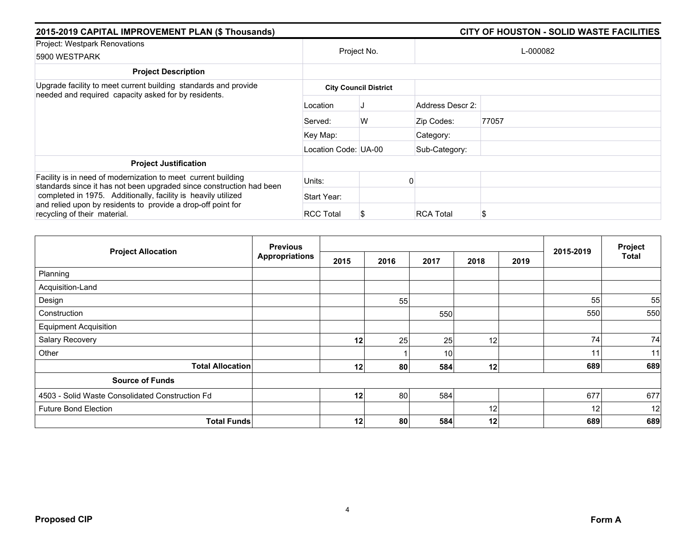| 2015-2019 CAPITAL IMPROVEMENT PLAN (\$ Thousands)                                                                                                                                                                                                                                                      |                      | <b>CITY OF HOUSTON - SOLID WASTE FACILITIES</b> |                  |          |  |  |
|--------------------------------------------------------------------------------------------------------------------------------------------------------------------------------------------------------------------------------------------------------------------------------------------------------|----------------------|-------------------------------------------------|------------------|----------|--|--|
| Project: Westpark Renovations<br>5900 WESTPARK                                                                                                                                                                                                                                                         |                      | Project No.                                     |                  | L-000082 |  |  |
| <b>Project Description</b>                                                                                                                                                                                                                                                                             |                      |                                                 |                  |          |  |  |
| Upgrade facility to meet current building standards and provide<br>needed and required capacity asked for by residents.                                                                                                                                                                                |                      | <b>City Council District</b>                    |                  |          |  |  |
|                                                                                                                                                                                                                                                                                                        | Location             |                                                 | Address Descr 2: |          |  |  |
|                                                                                                                                                                                                                                                                                                        | Served:              | W                                               | Zip Codes:       | 77057    |  |  |
|                                                                                                                                                                                                                                                                                                        | Key Map:             |                                                 | Category:        |          |  |  |
|                                                                                                                                                                                                                                                                                                        | Location Code: UA-00 |                                                 | Sub-Category:    |          |  |  |
| <b>Project Justification</b>                                                                                                                                                                                                                                                                           |                      |                                                 |                  |          |  |  |
| Facility is in need of modernization to meet current building<br>standards since it has not been upgraded since construction had been<br>completed in 1975. Additionally, facility is heavily utilized<br>and relied upon by residents to provide a drop-off point for<br>recycling of their material. | Units:               |                                                 |                  |          |  |  |
|                                                                                                                                                                                                                                                                                                        | Start Year:          |                                                 |                  |          |  |  |
|                                                                                                                                                                                                                                                                                                        | <b>RCC Total</b>     | S                                               | <b>RCA Total</b> | S        |  |  |

|                                                 | <b>Previous</b>       |                 |      |      | 2015-2019 | Project |     |              |
|-------------------------------------------------|-----------------------|-----------------|------|------|-----------|---------|-----|--------------|
| <b>Project Allocation</b>                       | <b>Appropriations</b> | 2015            | 2016 | 2017 | 2018      | 2019    |     | <b>Total</b> |
| Planning                                        |                       |                 |      |      |           |         |     |              |
| Acquisition-Land                                |                       |                 |      |      |           |         |     |              |
| Design                                          |                       |                 | 55   |      |           |         | 55  | 55           |
| Construction                                    |                       |                 |      | 550  |           |         | 550 | 550          |
| <b>Equipment Acquisition</b>                    |                       |                 |      |      |           |         |     |              |
| Salary Recovery                                 |                       | 12 <sub>1</sub> | 25   | 25   | 12        |         | 74  | 74           |
| Other                                           |                       |                 |      | 10   |           |         | 11  | 11           |
| <b>Total Allocation</b>                         |                       | 12              | 80   | 584  | 12        |         | 689 | 689          |
| <b>Source of Funds</b>                          |                       |                 |      |      |           |         |     |              |
| 4503 - Solid Waste Consolidated Construction Fd |                       | 12              | 80   | 584  |           |         | 677 | 677          |
| <b>Future Bond Election</b>                     |                       |                 |      |      | 12        |         | 12  | 12           |
| <b>Total Funds</b>                              |                       | 12              | 80   | 584  | 12        |         | 689 | 689          |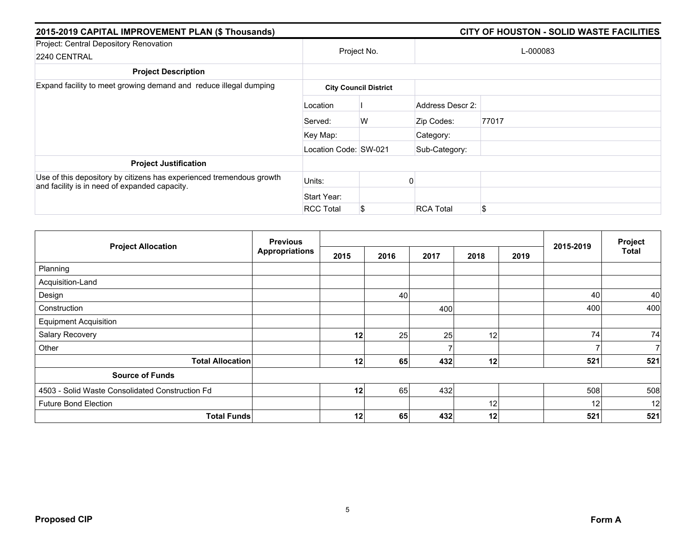| 2015-2019 CAPITAL IMPROVEMENT PLAN (\$ Thousands)                                                                     |                       | CITY OF HOUSTON - SOLID WASTE FACILITIES |                  |          |  |  |
|-----------------------------------------------------------------------------------------------------------------------|-----------------------|------------------------------------------|------------------|----------|--|--|
| Project: Central Depository Renovation<br>2240 CENTRAL                                                                |                       | Project No.                              |                  | L-000083 |  |  |
| <b>Project Description</b>                                                                                            |                       |                                          |                  |          |  |  |
| Expand facility to meet growing demand and reduce illegal dumping                                                     |                       | <b>City Council District</b>             |                  |          |  |  |
|                                                                                                                       | Location              |                                          | Address Descr 2: |          |  |  |
|                                                                                                                       | Served:               | W                                        | Zip Codes:       | 77017    |  |  |
|                                                                                                                       | Key Map:              |                                          | Category:        |          |  |  |
|                                                                                                                       | Location Code: SW-021 |                                          | Sub-Category:    |          |  |  |
| <b>Project Justification</b>                                                                                          |                       |                                          |                  |          |  |  |
| Use of this depository by citizens has experienced tremendous growth<br>and facility is in need of expanded capacity. | Units:                |                                          |                  |          |  |  |
|                                                                                                                       | Start Year:           |                                          |                  |          |  |  |
|                                                                                                                       | <b>RCC Total</b>      | \$                                       | <b>RCA Total</b> | \$       |  |  |

|                                                 | <b>Previous</b>       |                 |      |      |      |      | 2015-2019 | Project |
|-------------------------------------------------|-----------------------|-----------------|------|------|------|------|-----------|---------|
| <b>Project Allocation</b>                       | <b>Appropriations</b> | 2015            | 2016 | 2017 | 2018 | 2019 |           | Total   |
| Planning                                        |                       |                 |      |      |      |      |           |         |
| Acquisition-Land                                |                       |                 |      |      |      |      |           |         |
| Design                                          |                       |                 | 40   |      |      |      | 40        | 40      |
| Construction                                    |                       |                 |      | 400  |      |      | 400       | 400     |
| <b>Equipment Acquisition</b>                    |                       |                 |      |      |      |      |           |         |
| Salary Recovery                                 |                       | 12              | 25   | 25   | 12   |      | 74        | 74      |
| Other                                           |                       |                 |      |      |      |      |           | 7       |
| <b>Total Allocation</b>                         |                       | 12 <sub>1</sub> | 65   | 432  | 12   |      | 521       | 521     |
| <b>Source of Funds</b>                          |                       |                 |      |      |      |      |           |         |
| 4503 - Solid Waste Consolidated Construction Fd |                       | 12              | 65   | 432  |      |      | 508       | 508     |
| <b>Future Bond Election</b>                     |                       |                 |      |      | 12   |      | 12        | 12      |
| <b>Total Funds</b>                              |                       | 12              | 65   | 432  | 12   |      | 521       | 521     |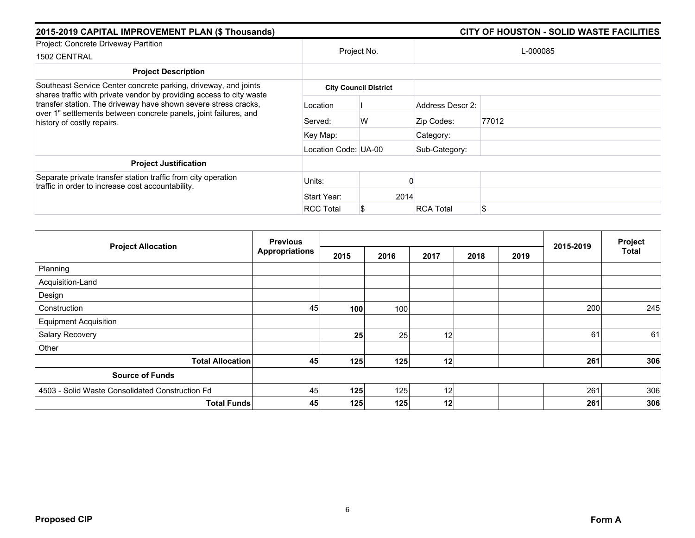| 2015-2019 CAPITAL IMPROVEMENT PLAN (\$ Thousands)                                                                                                                                                                                         |                      | <b>CITY OF HOUSTON - SOLID WASTE FACILITIES</b> |                  |          |  |  |
|-------------------------------------------------------------------------------------------------------------------------------------------------------------------------------------------------------------------------------------------|----------------------|-------------------------------------------------|------------------|----------|--|--|
| Project: Concrete Driveway Partition<br>1502 CENTRAL                                                                                                                                                                                      |                      | Project No.                                     |                  | L-000085 |  |  |
| <b>Project Description</b>                                                                                                                                                                                                                |                      |                                                 |                  |          |  |  |
| Southeast Service Center concrete parking, driveway, and joints                                                                                                                                                                           |                      | <b>City Council District</b>                    |                  |          |  |  |
| shares traffic with private vendor by providing access to city waste<br>transfer station. The driveway have shown severe stress cracks,<br>over 1" settlements between concrete panels, joint failures, and<br>history of costly repairs. | Location             |                                                 | Address Descr 2: |          |  |  |
|                                                                                                                                                                                                                                           | Served:              | W                                               | Zip Codes:       | 77012    |  |  |
|                                                                                                                                                                                                                                           | Key Map:             |                                                 | Category:        |          |  |  |
|                                                                                                                                                                                                                                           | Location Code: UA-00 |                                                 | Sub-Category:    |          |  |  |
| <b>Project Justification</b>                                                                                                                                                                                                              |                      |                                                 |                  |          |  |  |
| Separate private transfer station traffic from city operation<br>traffic in order to increase cost accountability.                                                                                                                        | Units:               |                                                 |                  |          |  |  |
|                                                                                                                                                                                                                                           | Start Year:          | 2014                                            |                  |          |  |  |
|                                                                                                                                                                                                                                           | <b>RCC Total</b>     | S                                               | <b>RCA Total</b> |          |  |  |

| <b>Project Allocation</b>                       | <b>Previous</b><br><b>Appropriations</b> |      |      |      | 2015-2019 | Project |     |              |
|-------------------------------------------------|------------------------------------------|------|------|------|-----------|---------|-----|--------------|
|                                                 |                                          | 2015 | 2016 | 2017 | 2018      | 2019    |     | <b>Total</b> |
| Planning                                        |                                          |      |      |      |           |         |     |              |
| Acquisition-Land                                |                                          |      |      |      |           |         |     |              |
| Design                                          |                                          |      |      |      |           |         |     |              |
| Construction                                    | 45                                       | 100  | 100  |      |           |         | 200 | 245          |
| <b>Equipment Acquisition</b>                    |                                          |      |      |      |           |         |     |              |
| Salary Recovery                                 |                                          | 25   | 25   | 12   |           |         | 61  | 61           |
| Other                                           |                                          |      |      |      |           |         |     |              |
| <b>Total Allocation</b>                         | 45                                       | 125  | 125  | 12   |           |         | 261 | 306          |
| <b>Source of Funds</b>                          |                                          |      |      |      |           |         |     |              |
| 4503 - Solid Waste Consolidated Construction Fd | 45                                       | 125  | 125  | 12   |           |         | 261 | 306          |
| <b>Total Funds</b>                              | 45                                       | 125  | 125  | 12   |           |         | 261 | 306          |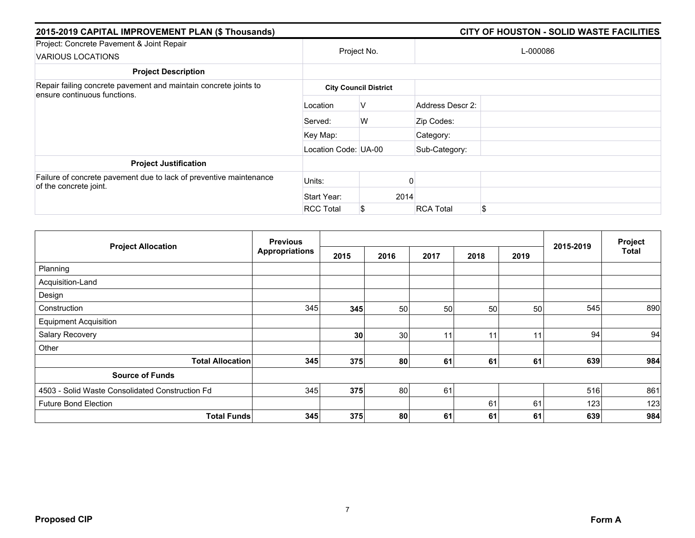| 2015-2019 CAPITAL IMPROVEMENT PLAN (\$ Thousands)                                                |                      |                              |                  |          |  |
|--------------------------------------------------------------------------------------------------|----------------------|------------------------------|------------------|----------|--|
| Project: Concrete Pavement & Joint Repair<br><b>VARIOUS LOCATIONS</b>                            |                      | Project No.                  |                  | L-000086 |  |
| <b>Project Description</b>                                                                       |                      |                              |                  |          |  |
| Repair failing concrete pavement and maintain concrete joints to<br>ensure continuous functions. |                      | <b>City Council District</b> |                  |          |  |
|                                                                                                  | Location             | V                            | Address Descr 2: |          |  |
|                                                                                                  | Served:              | W                            | Zip Codes:       |          |  |
|                                                                                                  | Key Map:             |                              | Category:        |          |  |
|                                                                                                  | Location Code: UA-00 |                              | Sub-Category:    |          |  |
| <b>Project Justification</b>                                                                     |                      |                              |                  |          |  |
| Failure of concrete pavement due to lack of preventive maintenance<br>of the concrete joint.     | Units:               |                              |                  |          |  |
|                                                                                                  | Start Year:          | 2014                         |                  |          |  |
|                                                                                                  | <b>RCC Total</b>     | S                            | <b>RCA Total</b> | \$       |  |

| <b>Project Allocation</b>                       | <b>Previous</b>       |                 |      |      |      |      |           | Project      |
|-------------------------------------------------|-----------------------|-----------------|------|------|------|------|-----------|--------------|
|                                                 | <b>Appropriations</b> | 2015            | 2016 | 2017 | 2018 | 2019 | 2015-2019 | <b>Total</b> |
| Planning                                        |                       |                 |      |      |      |      |           |              |
| Acquisition-Land                                |                       |                 |      |      |      |      |           |              |
| Design                                          |                       |                 |      |      |      |      |           |              |
| Construction                                    | 345                   | 345             | 50   | 50   | 50   | 50   | 545       | 890          |
| <b>Equipment Acquisition</b>                    |                       |                 |      |      |      |      |           |              |
| Salary Recovery                                 |                       | 30 <sup>°</sup> | 30   | 11   | 11   | 11   | 94        | 94           |
| Other                                           |                       |                 |      |      |      |      |           |              |
| <b>Total Allocation</b>                         | 345                   | 375             | 80   | 61   | 61   | 61   | 639       | 984          |
| <b>Source of Funds</b>                          |                       |                 |      |      |      |      |           |              |
| 4503 - Solid Waste Consolidated Construction Fd | 345                   | 375             | 80   | 61   |      |      | 516       | 861          |
| <b>Future Bond Election</b>                     |                       |                 |      |      | 61   | 61   | 123       | 123          |
| <b>Total Funds</b>                              | 345                   | 375             | 80   | 61   | 61   | 61   | 639       | 984          |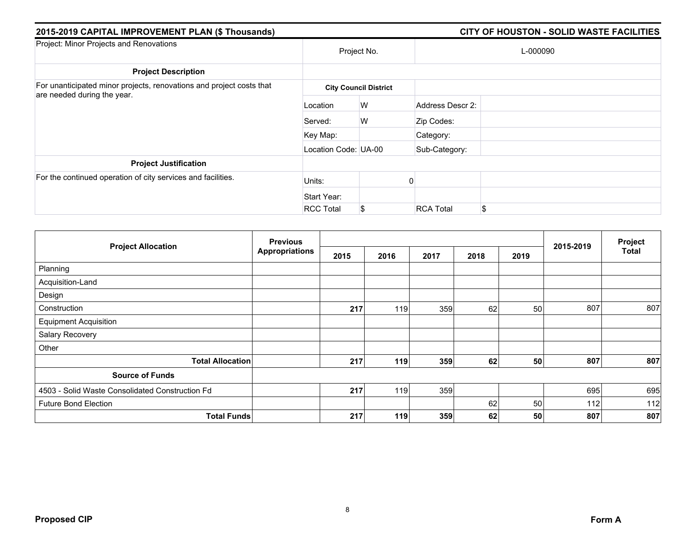| 2015-2019 CAPITAL IMPROVEMENT PLAN (\$ Thousands)                                                   |                      |                              |                  |          |  |
|-----------------------------------------------------------------------------------------------------|----------------------|------------------------------|------------------|----------|--|
| Project: Minor Projects and Renovations                                                             |                      | Project No.                  |                  | L-000090 |  |
| <b>Project Description</b>                                                                          |                      |                              |                  |          |  |
| For unanticipated minor projects, renovations and project costs that<br>are needed during the year. |                      | <b>City Council District</b> |                  |          |  |
|                                                                                                     | Location             | W                            | Address Descr 2: |          |  |
|                                                                                                     | Served:              | W                            | Zip Codes:       |          |  |
|                                                                                                     | Key Map:             |                              | Category:        |          |  |
|                                                                                                     | Location Code: UA-00 |                              | Sub-Category:    |          |  |
| <b>Project Justification</b>                                                                        |                      |                              |                  |          |  |
| For the continued operation of city services and facilities.                                        | Units:               |                              |                  |          |  |
|                                                                                                     | Start Year:          |                              |                  |          |  |
|                                                                                                     | <b>RCC Total</b>     | S                            | <b>RCA Total</b> | \$       |  |

| <b>Project Allocation</b>                       | <b>Previous</b><br><b>Appropriations</b> |      |      |      | 2015-2019 | Project |     |              |
|-------------------------------------------------|------------------------------------------|------|------|------|-----------|---------|-----|--------------|
|                                                 |                                          | 2015 | 2016 | 2017 | 2018      | 2019    |     | <b>Total</b> |
| Planning                                        |                                          |      |      |      |           |         |     |              |
| Acquisition-Land                                |                                          |      |      |      |           |         |     |              |
| Design                                          |                                          |      |      |      |           |         |     |              |
| Construction                                    |                                          | 217  | 119  | 359  | 62        | 50      | 807 | 807          |
| <b>Equipment Acquisition</b>                    |                                          |      |      |      |           |         |     |              |
| Salary Recovery                                 |                                          |      |      |      |           |         |     |              |
| Other                                           |                                          |      |      |      |           |         |     |              |
| <b>Total Allocation</b>                         |                                          | 217  | 119  | 359  | 62        | 50      | 807 | 807          |
| <b>Source of Funds</b>                          |                                          |      |      |      |           |         |     |              |
| 4503 - Solid Waste Consolidated Construction Fd |                                          | 217  | 119  | 359  |           |         | 695 | 695          |
| <b>Future Bond Election</b>                     |                                          |      |      |      | 62        | 50      | 112 | 112          |
| <b>Total Funds</b>                              |                                          | 217  | 119  | 359  | 62        | 50      | 807 | 807          |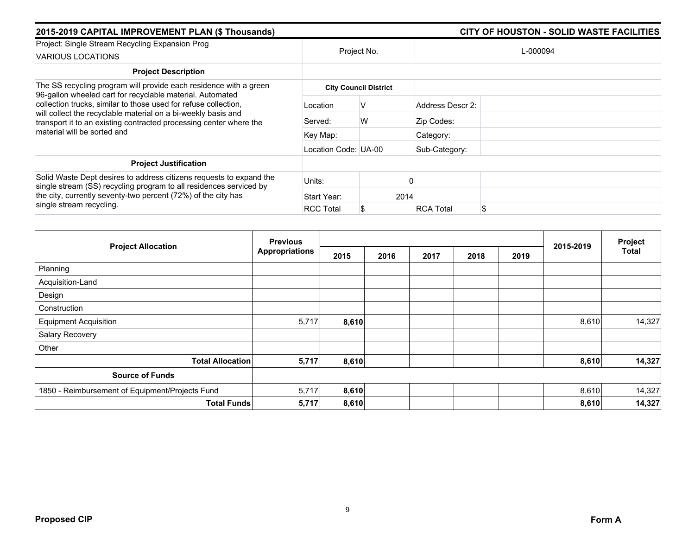| 2015-2019 CAPITAL IMPROVEMENT PLAN (\$ Thousands)                                                                                                                                                                                                                   |                      |                              | <b>CITY OF HOUSTON - SOLID WASTE FACILITIES</b> |    |  |  |  |  |
|---------------------------------------------------------------------------------------------------------------------------------------------------------------------------------------------------------------------------------------------------------------------|----------------------|------------------------------|-------------------------------------------------|----|--|--|--|--|
| Project: Single Stream Recycling Expansion Prog<br><b>VARIOUS LOCATIONS</b>                                                                                                                                                                                         | Project No.          |                              | L-000094                                        |    |  |  |  |  |
| <b>Project Description</b>                                                                                                                                                                                                                                          |                      |                              |                                                 |    |  |  |  |  |
| The SS recycling program will provide each residence with a green                                                                                                                                                                                                   |                      | <b>City Council District</b> |                                                 |    |  |  |  |  |
| 96-gallon wheeled cart for recyclable material. Automated<br>collection trucks, similar to those used for refuse collection,<br>will collect the recyclable material on a bi-weekly basis and<br>transport it to an existing contracted processing center where the | Location             |                              | Address Descr 2:                                |    |  |  |  |  |
|                                                                                                                                                                                                                                                                     | Served:              | W                            | Zip Codes:                                      |    |  |  |  |  |
| material will be sorted and                                                                                                                                                                                                                                         | Key Map:             |                              | Category:                                       |    |  |  |  |  |
|                                                                                                                                                                                                                                                                     | Location Code: UA-00 |                              | Sub-Category:                                   |    |  |  |  |  |
| <b>Project Justification</b>                                                                                                                                                                                                                                        |                      |                              |                                                 |    |  |  |  |  |
| Solid Waste Dept desires to address citizens requests to expand the<br>single stream (SS) recycling program to all residences serviced by<br>the city, currently seventy-two percent (72%) of the city has<br>single stream recycling.                              | Units:               |                              |                                                 |    |  |  |  |  |
|                                                                                                                                                                                                                                                                     | Start Year:          | 2014                         |                                                 |    |  |  |  |  |
|                                                                                                                                                                                                                                                                     | <b>RCC Total</b>     | S                            | <b>RCA Total</b>                                | \$ |  |  |  |  |

| <b>Project Allocation</b>                       | <b>Previous</b>       |       |      | 2015-2019 | Project |      |       |              |
|-------------------------------------------------|-----------------------|-------|------|-----------|---------|------|-------|--------------|
|                                                 | <b>Appropriations</b> | 2015  | 2016 | 2017      | 2018    | 2019 |       | <b>Total</b> |
| Planning                                        |                       |       |      |           |         |      |       |              |
| Acquisition-Land                                |                       |       |      |           |         |      |       |              |
| Design                                          |                       |       |      |           |         |      |       |              |
| Construction                                    |                       |       |      |           |         |      |       |              |
| <b>Equipment Acquisition</b>                    | 5,717                 | 8,610 |      |           |         |      | 8,610 | 14,327       |
| Salary Recovery                                 |                       |       |      |           |         |      |       |              |
| Other                                           |                       |       |      |           |         |      |       |              |
| <b>Total Allocation</b>                         | 5,717                 | 8,610 |      |           |         |      | 8,610 | 14,327       |
| <b>Source of Funds</b>                          |                       |       |      |           |         |      |       |              |
| 1850 - Reimbursement of Equipment/Projects Fund | 5,717                 | 8,610 |      |           |         |      | 8,610 | 14,327       |
| <b>Total Funds</b>                              | 5,717                 | 8,610 |      |           |         |      | 8,610 | 14,327       |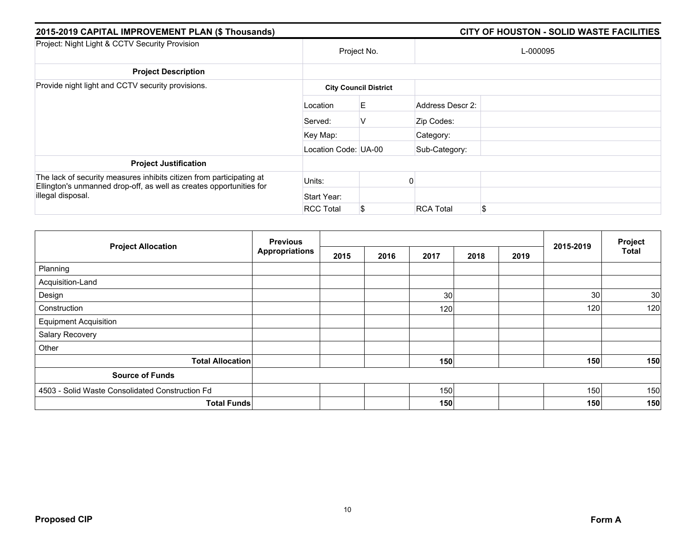| 2015-2019 CAPITAL IMPROVEMENT PLAN (\$ Thousands)                                                                                                                |                      |                              |                  |          |  |
|------------------------------------------------------------------------------------------------------------------------------------------------------------------|----------------------|------------------------------|------------------|----------|--|
| Project: Night Light & CCTV Security Provision                                                                                                                   |                      | Project No.                  |                  | L-000095 |  |
| <b>Project Description</b>                                                                                                                                       |                      |                              |                  |          |  |
| Provide night light and CCTV security provisions.                                                                                                                |                      | <b>City Council District</b> |                  |          |  |
|                                                                                                                                                                  | Location             | E                            | Address Descr 2: |          |  |
|                                                                                                                                                                  | Served:              | V                            | Zip Codes:       |          |  |
|                                                                                                                                                                  | Key Map:             |                              | Category:        |          |  |
|                                                                                                                                                                  | Location Code: UA-00 |                              | Sub-Category:    |          |  |
| <b>Project Justification</b>                                                                                                                                     |                      |                              |                  |          |  |
| The lack of security measures inhibits citizen from participating at<br>Ellington's unmanned drop-off, as well as creates opportunities for<br>illegal disposal. | Units:               |                              |                  |          |  |
|                                                                                                                                                                  | Start Year:          |                              |                  |          |  |
|                                                                                                                                                                  | <b>RCC Total</b>     | \$                           | <b>RCA Total</b> | \$.      |  |

|                                                 | <b>Previous</b>       |      |      |      | Project |      |           |              |
|-------------------------------------------------|-----------------------|------|------|------|---------|------|-----------|--------------|
| <b>Project Allocation</b>                       | <b>Appropriations</b> | 2015 | 2016 | 2017 | 2018    | 2019 | 2015-2019 | <b>Total</b> |
| Planning                                        |                       |      |      |      |         |      |           |              |
| Acquisition-Land                                |                       |      |      |      |         |      |           |              |
| Design                                          |                       |      |      | 30   |         |      | 30        | 30           |
| Construction                                    |                       |      |      | 120  |         |      | 120       | 120          |
| <b>Equipment Acquisition</b>                    |                       |      |      |      |         |      |           |              |
| Salary Recovery                                 |                       |      |      |      |         |      |           |              |
| Other                                           |                       |      |      |      |         |      |           |              |
| <b>Total Allocation</b>                         |                       |      |      | 150  |         |      | 150       | 150          |
| <b>Source of Funds</b>                          |                       |      |      |      |         |      |           |              |
| 4503 - Solid Waste Consolidated Construction Fd |                       |      |      | 150  |         |      | 150       | 150          |
| <b>Total Funds</b>                              |                       |      |      | 150  |         |      | 150       | 150          |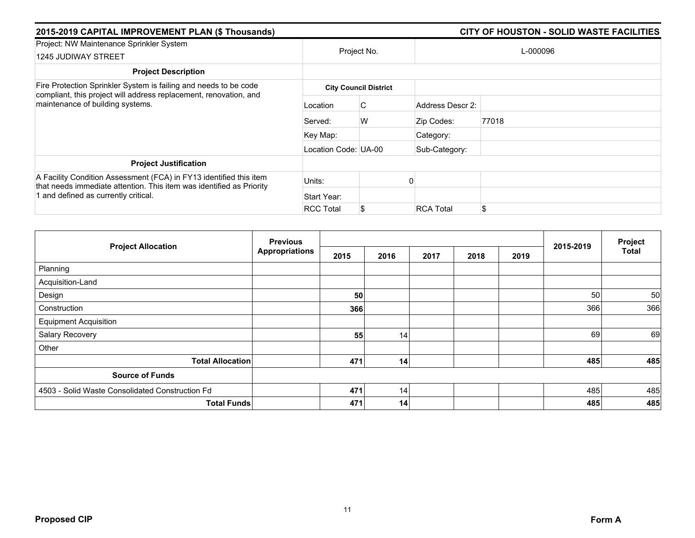| 2015-2019 CAPITAL IMPROVEMENT PLAN (\$ Thousands)                                                                                                                         |                      |                              |                  |          |  |
|---------------------------------------------------------------------------------------------------------------------------------------------------------------------------|----------------------|------------------------------|------------------|----------|--|
| Project: NW Maintenance Sprinkler System<br><b>1245 JUDIWAY STREET</b>                                                                                                    |                      | Project No.                  |                  | L-000096 |  |
| <b>Project Description</b>                                                                                                                                                |                      |                              |                  |          |  |
| Fire Protection Sprinkler System is failing and needs to be code<br>compliant, this project will address replacement, renovation, and<br>maintenance of building systems. |                      | <b>City Council District</b> |                  |          |  |
|                                                                                                                                                                           | Location             | C                            | Address Descr 2: |          |  |
|                                                                                                                                                                           | Served:              | W                            | Zip Codes:       | 77018    |  |
|                                                                                                                                                                           | Key Map:             |                              | Category:        |          |  |
|                                                                                                                                                                           | Location Code: UA-00 |                              | Sub-Category:    |          |  |
| <b>Project Justification</b>                                                                                                                                              |                      |                              |                  |          |  |
| A Facility Condition Assessment (FCA) in FY13 identified this item<br>that needs immediate attention. This item was identified as Priority                                | Units:               |                              |                  |          |  |
| 1 and defined as currently critical.                                                                                                                                      | Start Year:          |                              |                  |          |  |
|                                                                                                                                                                           | <b>RCC Total</b>     | S.                           | <b>RCA Total</b> | \$       |  |

| <b>Project Allocation</b>                       | <b>Previous</b>       |      |                 |      |      | Project |           |              |
|-------------------------------------------------|-----------------------|------|-----------------|------|------|---------|-----------|--------------|
|                                                 | <b>Appropriations</b> | 2015 | 2016            | 2017 | 2018 | 2019    | 2015-2019 | <b>Total</b> |
| Planning                                        |                       |      |                 |      |      |         |           |              |
| Acquisition-Land                                |                       |      |                 |      |      |         |           |              |
| Design                                          |                       | 50   |                 |      |      |         | 50        | 50           |
| Construction                                    |                       | 366  |                 |      |      |         | 366       | 366          |
| <b>Equipment Acquisition</b>                    |                       |      |                 |      |      |         |           |              |
| Salary Recovery                                 |                       | 55   | 14 <sub>1</sub> |      |      |         | 69        | 69           |
| Other                                           |                       |      |                 |      |      |         |           |              |
| <b>Total Allocation</b>                         |                       | 471  | 14              |      |      |         | 485       | 485          |
| <b>Source of Funds</b>                          |                       |      |                 |      |      |         |           |              |
| 4503 - Solid Waste Consolidated Construction Fd |                       | 471  | 14              |      |      |         | 485       | 485          |
| <b>Total Funds</b>                              |                       | 471  | 14              |      |      |         | 485       | 485          |